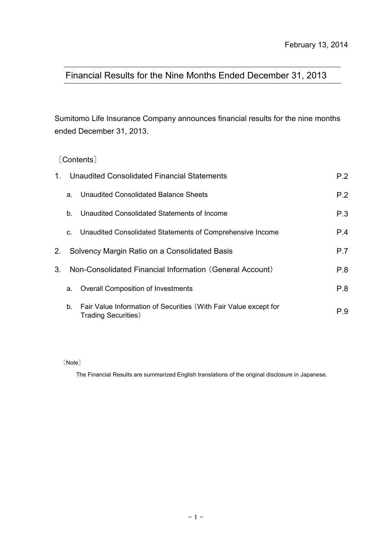# Financial Results for the Nine Months Ended December 31, 2013

Sumitomo Life Insurance Company announces financial results for the nine months ended December 31, 2013.

[Contents]

|                |    | 1. Unaudited Consolidated Financial Statements                                                  | P.2 |
|----------------|----|-------------------------------------------------------------------------------------------------|-----|
|                | a. | Unaudited Consolidated Balance Sheets                                                           | P.2 |
|                | b. | Unaudited Consolidated Statements of Income                                                     | P.3 |
|                | C. | Unaudited Consolidated Statements of Comprehensive Income                                       | P.4 |
| 2.             |    | Solvency Margin Ratio on a Consolidated Basis                                                   | P.7 |
| 3 <sub>1</sub> |    | Non-Consolidated Financial Information (General Account)                                        | P.8 |
|                | a. | <b>Overall Composition of Investments</b>                                                       | P.8 |
|                | b. | Fair Value Information of Securities (With Fair Value except for<br><b>Trading Securities</b> ) | P.9 |

[Note]

The Financial Results are summarized English translations of the original disclosure in Japanese.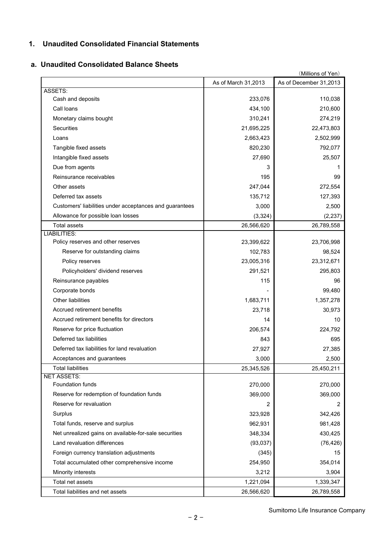## **1. Unaudited Consolidated Financial Statements**

#### **a. Unaudited Consolidated Balance Sheets**

| (Millions of Yen)                                       |                     |                        |  |  |  |
|---------------------------------------------------------|---------------------|------------------------|--|--|--|
|                                                         | As of March 31,2013 | As of December 31,2013 |  |  |  |
| <b>ASSETS:</b>                                          |                     |                        |  |  |  |
| Cash and deposits                                       | 233,076             | 110,038                |  |  |  |
| Call Ioans                                              | 434,100             | 210,600                |  |  |  |
| Monetary claims bought                                  | 310,241             | 274,219                |  |  |  |
| Securities                                              | 21,695,225          | 22,473,803             |  |  |  |
| Loans                                                   | 2,663,423           | 2,502,999              |  |  |  |
| Tangible fixed assets                                   | 820,230             | 792,077                |  |  |  |
| Intangible fixed assets                                 | 27,690              | 25,507                 |  |  |  |
| Due from agents                                         | 3                   | 1                      |  |  |  |
| Reinsurance receivables                                 | 195                 | 99                     |  |  |  |
| Other assets                                            | 247,044             | 272,554                |  |  |  |
| Deferred tax assets                                     | 135,712             | 127,393                |  |  |  |
| Customers' liabilities under acceptances and guarantees | 3,000               | 2,500                  |  |  |  |
| Allowance for possible loan losses                      | (3, 324)            | (2, 237)               |  |  |  |
| <b>Total assets</b>                                     | 26,566,620          | 26,789,558             |  |  |  |
| <b>LIABILITIES:</b>                                     |                     |                        |  |  |  |
| Policy reserves and other reserves                      | 23,399,622          | 23,706,998             |  |  |  |
| Reserve for outstanding claims                          | 102,783             | 98,524                 |  |  |  |
| Policy reserves                                         | 23,005,316          | 23,312,671             |  |  |  |
| Policyholders' dividend reserves                        | 291,521             | 295,803                |  |  |  |
| Reinsurance payables                                    | 115                 | 96                     |  |  |  |
| Corporate bonds                                         |                     | 99,480                 |  |  |  |
| Other liabilities                                       | 1,683,711           | 1,357,278              |  |  |  |
| Accrued retirement benefits                             | 23,718              | 30,973                 |  |  |  |
| Accrued retirement benefits for directors               | 14                  | 10                     |  |  |  |
| Reserve for price fluctuation                           | 206,574             | 224,792                |  |  |  |
| Deferred tax liabilities                                | 843                 | 695                    |  |  |  |
| Deferred tax liabilities for land revaluation           | 27,927              | 27,385                 |  |  |  |
| Acceptances and guarantees                              | 3,000               | 2,500                  |  |  |  |
| <b>Total liabilities</b>                                | 25,345,526          | 25,450,211             |  |  |  |
| <b>NET ASSETS:</b>                                      |                     |                        |  |  |  |
| Foundation funds                                        | 270,000             | 270,000                |  |  |  |
| Reserve for redemption of foundation funds              | 369,000             | 369,000                |  |  |  |
| Reserve for revaluation                                 | 2                   | 2                      |  |  |  |
| Surplus                                                 | 323,928             | 342,426                |  |  |  |
| Total funds, reserve and surplus                        | 962,931             | 981,428                |  |  |  |
| Net unrealized gains on available-for-sale securities   | 348,334             | 430,425                |  |  |  |
| Land revaluation differences                            | (93,037)            | (76, 426)              |  |  |  |
| Foreign currency translation adjustments                | (345)               | 15                     |  |  |  |
| Total accumulated other comprehensive income            | 254,950             | 354,014                |  |  |  |
| Minority interests                                      | 3,212               | 3,904                  |  |  |  |
| Total net assets                                        | 1,221,094           | 1,339,347              |  |  |  |
| Total liabilities and net assets                        | 26,566,620          | 26,789,558             |  |  |  |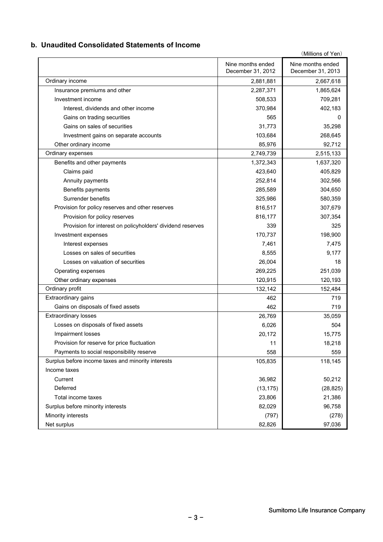### **b. Unaudited Consolidated Statements of Income**

|                                                            |                                        | (Millions of Yen)                      |
|------------------------------------------------------------|----------------------------------------|----------------------------------------|
|                                                            | Nine months ended<br>December 31, 2012 | Nine months ended<br>December 31, 2013 |
| Ordinary income                                            | 2,881,881                              | 2,667,618                              |
| Insurance premiums and other                               | 2,287,371                              | 1,865,624                              |
| Investment income                                          | 508,533                                | 709,281                                |
| Interest, dividends and other income                       | 370,984                                | 402,183                                |
| Gains on trading securities                                | 565                                    | 0                                      |
| Gains on sales of securities                               | 31,773                                 | 35,298                                 |
| Investment gains on separate accounts                      | 103,684                                | 268,645                                |
| Other ordinary income                                      | 85,976                                 | 92,712                                 |
| Ordinary expenses                                          | 2,749,739                              | 2,515,133                              |
| Benefits and other payments                                | 1,372,343                              | 1,637,320                              |
| Claims paid                                                | 423,640                                | 405,829                                |
| Annuity payments                                           | 252,814                                | 302,566                                |
| Benefits payments                                          | 285,589                                | 304,650                                |
| Surrender benefits                                         | 325,986                                | 580,359                                |
| Provision for policy reserves and other reserves           | 816,517                                | 307,679                                |
| Provision for policy reserves                              | 816,177                                | 307,354                                |
| Provision for interest on policyholders' dividend reserves | 339                                    | 325                                    |
| Investment expenses                                        | 170,737                                | 198,900                                |
| Interest expenses                                          | 7,461                                  | 7,475                                  |
| Losses on sales of securities                              | 8,555                                  | 9,177                                  |
| Losses on valuation of securities                          | 26,004                                 | 18                                     |
| Operating expenses                                         | 269,225                                | 251,039                                |
| Other ordinary expenses                                    | 120,915                                | 120,193                                |
| Ordinary profit                                            | 132,142                                | 152,484                                |
| Extraordinary gains                                        | 462                                    | 719                                    |
| Gains on disposals of fixed assets                         | 462                                    | 719                                    |
| <b>Extraordinary losses</b>                                | 26,769                                 | 35,059                                 |
| Losses on disposals of fixed assets                        | 6,026                                  | 504                                    |
| <b>Impairment losses</b>                                   | 20,172                                 | 15,775                                 |
| Provision for reserve for price fluctuation                | 11                                     | 18,218                                 |
| Payments to social responsibility reserve                  | 558                                    | 559                                    |
| Surplus before income taxes and minority interests         | 105,835                                | 118,145                                |
| Income taxes                                               |                                        |                                        |
| Current                                                    | 36,982                                 | 50,212                                 |
| Deferred                                                   | (13, 175)                              | (28, 825)                              |
| Total income taxes                                         | 23,806                                 | 21,386                                 |
| Surplus before minority interests                          | 82,029                                 | 96,758                                 |
| Minority interests                                         | (797)                                  | (278)                                  |
| Net surplus                                                | 82,826                                 | 97,036                                 |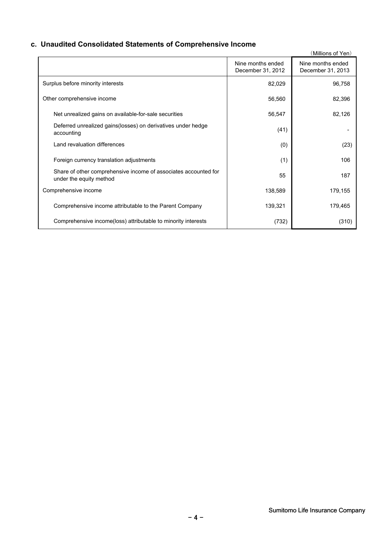# **c. Unaudited Consolidated Statements of Comprehensive Income**

|                                                                                            |                                        | (Millions of Yen)                      |
|--------------------------------------------------------------------------------------------|----------------------------------------|----------------------------------------|
|                                                                                            | Nine months ended<br>December 31, 2012 | Nine months ended<br>December 31, 2013 |
| Surplus before minority interests                                                          | 82,029                                 | 96,758                                 |
| Other comprehensive income                                                                 | 56,560                                 | 82,396                                 |
| Net unrealized gains on available-for-sale securities                                      | 56,547                                 | 82,126                                 |
| Deferred unrealized gains (losses) on derivatives under hedge<br>accounting                | (41)                                   |                                        |
| Land revaluation differences                                                               | (0)                                    | (23)                                   |
| Foreign currency translation adjustments                                                   | (1)                                    | 106                                    |
| Share of other comprehensive income of associates accounted for<br>under the equity method | 55                                     | 187                                    |
| Comprehensive income                                                                       | 138,589                                | 179,155                                |
| Comprehensive income attributable to the Parent Company                                    | 139,321                                | 179,465                                |
| Comprehensive income(loss) attributable to minority interests                              | (732)                                  | (310)                                  |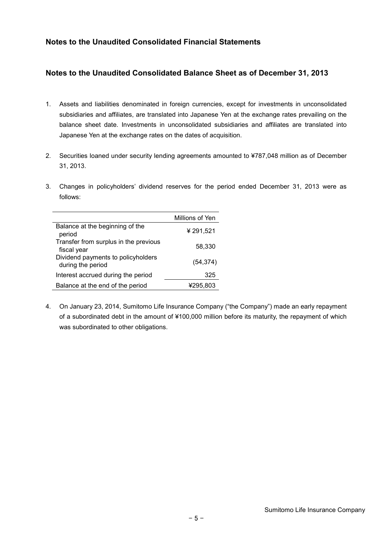## **Notes to the Unaudited Consolidated Financial Statements**

### **Notes to the Unaudited Consolidated Balance Sheet as of December 31, 2013**

- 1. Assets and liabilities denominated in foreign currencies, except for investments in unconsolidated subsidiaries and affiliates, are translated into Japanese Yen at the exchange rates prevailing on the balance sheet date. Investments in unconsolidated subsidiaries and affiliates are translated into Japanese Yen at the exchange rates on the dates of acquisition.
- 2. Securities loaned under security lending agreements amounted to ¥787,048 million as of December 31, 2013.
- 3. Changes in policyholders' dividend reserves for the period ended December 31, 2013 were as follows:

|                                                         | Millions of Yen |
|---------------------------------------------------------|-----------------|
| Balance at the beginning of the<br>period               | ¥291,521        |
| Transfer from surplus in the previous<br>fiscal year    | 58,330          |
| Dividend payments to policyholders<br>during the period | (54, 374)       |
| Interest accrued during the period                      | 325             |
| Balance at the end of the period                        | ¥295.803        |

4. On January 23, 2014, Sumitomo Life Insurance Company ("the Company") made an early repayment of a subordinated debt in the amount of ¥100,000 million before its maturity, the repayment of which was subordinated to other obligations.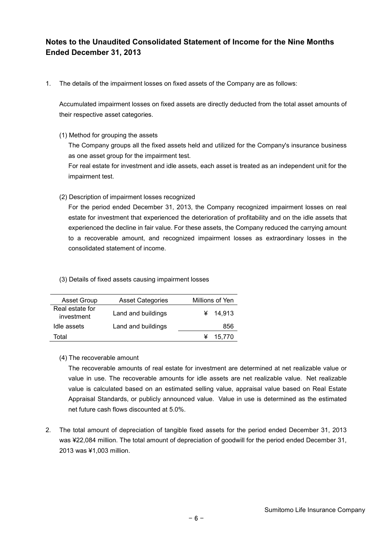## **Notes to the Unaudited Consolidated Statement of Income for the Nine Months Ended December 31, 2013**

1. The details of the impairment losses on fixed assets of the Company are as follows:

Accumulated impairment losses on fixed assets are directly deducted from the total asset amounts of their respective asset categories.

(1) Method for grouping the assets

The Company groups all the fixed assets held and utilized for the Company's insurance business as one asset group for the impairment test.

For real estate for investment and idle assets, each asset is treated as an independent unit for the impairment test.

(2) Description of impairment losses recognized

For the period ended December 31, 2013, the Company recognized impairment losses on real estate for investment that experienced the deterioration of profitability and on the idle assets that experienced the decline in fair value. For these assets, the Company reduced the carrying amount to a recoverable amount, and recognized impairment losses as extraordinary losses in the consolidated statement of income.

(3) Details of fixed assets causing impairment losses

| <b>Asset Group</b>            | <b>Asset Categories</b> | Millions of Yen |
|-------------------------------|-------------------------|-----------------|
| Real estate for<br>investment | Land and buildings      | 14.913          |
| Idle assets                   | Land and buildings      | 856             |
| Total                         |                         | 15,770          |

#### (4) The recoverable amount

The recoverable amounts of real estate for investment are determined at net realizable value or value in use. The recoverable amounts for idle assets are net realizable value. Net realizable value is calculated based on an estimated selling value, appraisal value based on Real Estate Appraisal Standards, or publicly announced value. Value in use is determined as the estimated net future cash flows discounted at 5.0%.

2. The total amount of depreciation of tangible fixed assets for the period ended December 31, 2013 was ¥22,084 million. The total amount of depreciation of goodwill for the period ended December 31, 2013 was ¥1,003 million.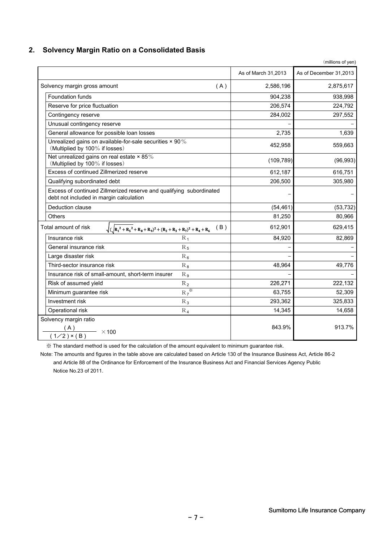### **2. Solvency Margin Ratio on a Consolidated Basis**

|                                                                                                                |                     | (millions of yen)      |
|----------------------------------------------------------------------------------------------------------------|---------------------|------------------------|
|                                                                                                                | As of March 31,2013 | As of December 31,2013 |
| Solvency margin gross amount<br>(A)                                                                            | 2,586,196           | 2,875,617              |
| <b>Foundation funds</b>                                                                                        | 904,238             | 938,998                |
| Reserve for price fluctuation                                                                                  | 206,574             | 224,792                |
| Contingency reserve                                                                                            | 284,002             | 297,552                |
| Unusual contingency reserve                                                                                    |                     |                        |
| General allowance for possible loan losses                                                                     | 2,735               | 1,639                  |
| Unrealized gains on available-for-sale securities × 90%<br>(Multiplied by 100% if losses)                      | 452,958             | 559,663                |
| Net unrealized gains on real estate $\times$ 85%<br>(Multiplied by 100% if losses)                             | (109, 789)          | (96, 993)              |
| Excess of continued Zillmerized reserve                                                                        | 612,187             | 616,751                |
| Qualifying subordinated debt                                                                                   | 206,500             | 305,980                |
| Excess of continued Zillmerized reserve and qualifying subordinated<br>debt not included in margin calculation |                     |                        |
| Deduction clause                                                                                               | (54, 461)           | (53, 732)              |
| Others                                                                                                         | 81,250              | 80,966                 |
| Total amount of risk<br>(B)<br>$\sqrt{(R_1^2+R_5^2+R_8+R_9)^2+(R_2+R_3+R_7)^2+R_4+R_6}$                        | 612,901             | 629,415                |
| Insurance risk<br>$R_1$                                                                                        | 84,920              | 82,869                 |
| General insurance risk<br>$R_5$                                                                                |                     |                        |
| Large disaster risk<br>$R_{\,6}$                                                                               |                     |                        |
| Third-sector insurance risk<br>$R_{8}$                                                                         | 48,964              | 49,776                 |
| Insurance risk of small-amount, short-term insurer<br>$R_9$                                                    |                     |                        |
| Risk of assumed yield<br>$R_2$                                                                                 | 226,271             | 222,132                |
| $R_7^*$<br>Minimum guarantee risk                                                                              | 63,755              | 52,309                 |
| $R_3$<br>Investment risk                                                                                       | 293,362             | 325,833                |
| Operational risk<br>$R_4$                                                                                      | 14,345              | 14,658                 |
| Solvency margin ratio<br>$\frac{(A)}{(1/2) \times (B)}$ × 100                                                  | 843.9%              | 913.7%                 |

※ The standard method is used for the calculation of the amount equivalent to minimum guarantee risk.

 Note: The amounts and figures in the table above are calculated based on Article 130 of the Insurance Business Act, Article 86-2 and Article 88 of the Ordinance for Enforcement of the Insurance Business Act and Financial Services Agency Public Notice No.23 of 2011.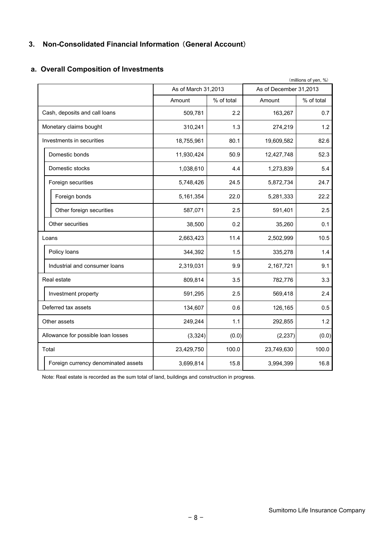## **3. Non-Consolidated Financial Information** (**General Account**)

## **a. Overall Composition of Investments**

|                                     | (millions of yen, %) |            |                        |            |  |  |
|-------------------------------------|----------------------|------------|------------------------|------------|--|--|
|                                     | As of March 31,2013  |            | As of December 31,2013 |            |  |  |
|                                     | Amount               | % of total | Amount                 | % of total |  |  |
| Cash, deposits and call loans       | 509,781              | 2.2        | 163,267                | 0.7        |  |  |
| Monetary claims bought              | 310,241              | 1.3        | 274,219                | 1.2        |  |  |
| Investments in securities           | 18,755,961           | 80.1       | 19,609,582             | 82.6       |  |  |
| Domestic bonds                      | 11,930,424           | 50.9       | 12,427,748             | 52.3       |  |  |
| Domestic stocks                     | 1,038,610            | 4.4        | 1,273,839              | 5.4        |  |  |
| Foreign securities                  | 5,748,426            | 24.5       | 5,872,734              | 24.7       |  |  |
| Foreign bonds                       | 5,161,354            | 22.0       | 5,281,333              | 22.2       |  |  |
| Other foreign securities            | 587,071              | 2.5        | 591,401                | 2.5        |  |  |
| Other securities                    | 38,500               | 0.2        | 35,260                 | 0.1        |  |  |
| Loans                               | 2,663,423            | 11.4       | 2,502,999              | 10.5       |  |  |
| Policy loans                        | 344,392              | 1.5        | 335,278                | 1.4        |  |  |
| Industrial and consumer loans       | 2,319,031            | 9.9        | 2,167,721              | 9.1        |  |  |
| Real estate                         | 809,814              | 3.5        | 782,776                | 3.3        |  |  |
| Investment property                 | 591,295              | 2.5        | 569,418                | 2.4        |  |  |
| Deferred tax assets                 | 134,607              | 0.6        | 126,165                | 0.5        |  |  |
| Other assets                        | 249,244              | 1.1        | 292,855                | 1.2        |  |  |
| Allowance for possible loan losses  | (3, 324)             | (0.0)      | (2, 237)               | (0.0)      |  |  |
| Total                               | 23,429,750           | 100.0      | 23,749,630             | 100.0      |  |  |
| Foreign currency denominated assets | 3,699,814            | 15.8       | 3,994,399              | 16.8       |  |  |

Note: Real estate is recorded as the sum total of land, buildings and construction in progress.